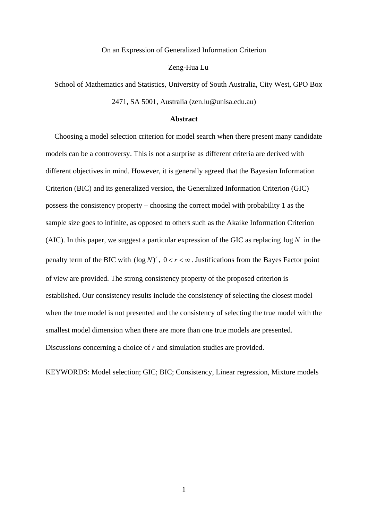#### On an Expression of Generalized Information Criterion

#### Zeng-Hua Lu

School of Mathematics and Statistics, University of South Australia, City West, GPO Box 2471, SA 5001, Australia (zen.lu@unisa.edu.au)

### **Abstract**

Choosing a model selection criterion for model search when there present many candidate models can be a controversy. This is not a surprise as different criteria are derived with different objectives in mind. However, it is generally agreed that the Bayesian Information Criterion (BIC) and its generalized version, the Generalized Information Criterion (GIC) possess the consistency property – choosing the correct model with probability 1 as the sample size goes to infinite, as opposed to others such as the Akaike Information Criterion (AIC). In this paper, we suggest a particular expression of the GIC as replacing  $\log N$  in the penalty term of the BIC with  $(\log N)^r$ ,  $0 < r < \infty$ . Justifications from the Bayes Factor point of view are provided. The strong consistency property of the proposed criterion is established. Our consistency results include the consistency of selecting the closest model when the true model is not presented and the consistency of selecting the true model with the smallest model dimension when there are more than one true models are presented. Discussions concerning a choice of *r* and simulation studies are provided.

KEYWORDS: Model selection; GIC; BIC; Consistency, Linear regression, Mixture models

1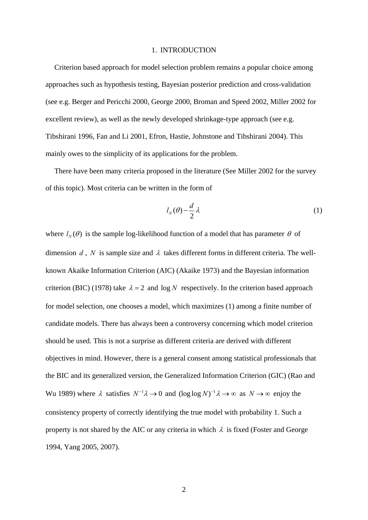#### 1. INTRODUCTION

Criterion based approach for model selection problem remains a popular choice among approaches such as hypothesis testing, Bayesian posterior prediction and cross-validation (see e.g. Berger and Pericchi 2000, George 2000, Broman and Speed 2002, Miller 2002 for excellent review), as well as the newly developed shrinkage-type approach (see e.g. Tibshirani 1996, Fan and Li 2001, Efron, Hastie, Johnstone and Tibshirani 2004). This mainly owes to the simplicity of its applications for the problem.

There have been many criteria proposed in the literature (See Miller 2002 for the survey of this topic). Most criteria can be written in the form of

$$
l_N(\theta) - \frac{d}{2}\lambda\tag{1}
$$

<span id="page-1-0"></span>where  $l_{N}(\theta)$  is the sample log-likelihood function of a model that has parameter  $\theta$  of dimension  $d$ ,  $N$  is sample size and  $\lambda$  takes different forms in different criteria. The wellknown Akaike Information Criterion (AIC) (Akaike 1973) and the Bayesian information criterion (BIC) (1978) take  $\lambda = 2$  and  $\log N$  respectively. In the criterion based approach for model selection, one chooses a model, which maximizes [\(1\)](#page-1-0) among a finite number of candidate models. There has always been a controversy concerning which model criterion should be used. This is not a surprise as different criteria are derived with different objectives in mind. However, there is a general consent among statistical professionals that the BIC and its generalized version, the Generalized Information Criterion (GIC) (Rao and Wu 1989) where  $\lambda$  satisfies  $N^{-1}\lambda \to 0$  and  $(\log \log N)^{-1}\lambda \to \infty$  as  $N \to \infty$  enjoy the consistency property of correctly identifying the true model with probability 1. Such a property is not shared by the AIC or any criteria in which  $\lambda$  is fixed (Foster and George 1994, Yang 2005, 2007).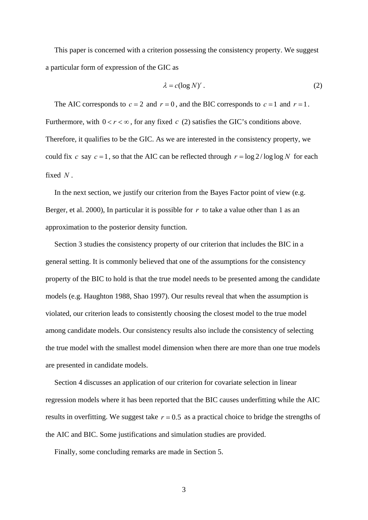This paper is concerned with a criterion possessing the consistency property. We suggest a particular form of expression of the GIC as

$$
\lambda = c(\log N)^r. \tag{2}
$$

<span id="page-2-0"></span>The AIC corresponds to  $c = 2$  and  $r = 0$ , and the BIC corresponds to  $c = 1$  and  $r = 1$ . Furthermore, with  $0 < r < \infty$ , for any fixed *c* [\(2\)](#page-2-0) satisfies the GIC's conditions above. Therefore, it qualifies to be the GIC. As we are interested in the consistency property, we could fix *c* say  $c = 1$ , so that the AIC can be reflected through  $r = \log 2 / \log \log N$  for each fixed *N* .

In the next section, we justify our criterion from the Bayes Factor point of view (e.g. Berger, et al. 2000), In particular it is possible for *r* to take a value other than 1 as an approximation to the posterior density function.

Section 3 studies the consistency property of our criterion that includes the BIC in a general setting. It is commonly believed that one of the assumptions for the consistency property of the BIC to hold is that the true model needs to be presented among the candidate models (e.g. Haughton 1988, Shao 1997). Our results reveal that when the assumption is violated, our criterion leads to consistently choosing the closest model to the true model among candidate models. Our consistency results also include the consistency of selecting the true model with the smallest model dimension when there are more than one true models are presented in candidate models.

Section 4 discusses an application of our criterion for covariate selection in linear regression models where it has been reported that the BIC causes underfitting while the AIC results in overfitting. We suggest take  $r = 0.5$  as a practical choice to bridge the strengths of the AIC and BIC. Some justifications and simulation studies are provided.

Finally, some concluding remarks are made in Section 5.

3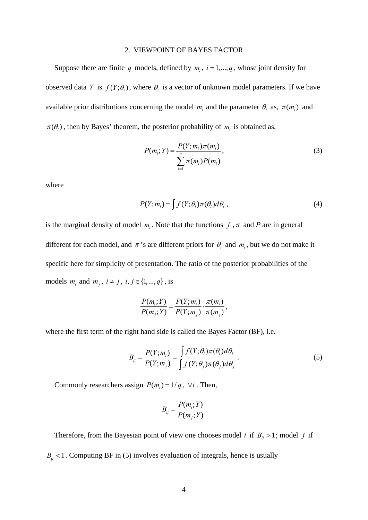#### 2. VIEWPOINT OF BAYES FACTOR

<span id="page-3-1"></span>Suppose there are finite q models, defined by  $m_i$ ,  $i = 1, \dots, q$ , whose joint density for observed data *Y* is  $f(Y; \theta_i)$ , where  $\theta_i$  is a vector of unknown model parameters. If we have available prior distributions concerning the model  $m_i$  and the parameter  $\theta_i$  as,  $\pi(m_i)$  and  $\pi(\theta_i)$ , then by Bayes' theorem, the posterior probability of  $m_i$  is obtained as,

$$
P(m_i; Y) = \frac{P(Y; m_i)\pi(m_i)}{\sum_{i=1}^{q} \pi(m_i)P(m_i)},
$$
\n(3)

where

$$
P(Y; m_i) = \int f(Y; \theta_i) \pi(\theta_i) d\theta_i,
$$
\n(4)

is the marginal density of model  $m_i$ . Note that the functions  $f$ ,  $\pi$  and  $P$  are in general different for each model, and  $\pi$ 's are different priors for  $\theta_i$  and  $m_i$ , but we do not make it specific here for simplicity of presentation. The ratio of the posterior probabilities of the models  $m_i$  and  $m_j$ ,  $i \neq j$ ,  $i, j \in \{1, ..., q\}$ , is

$$
\frac{P(m_i;Y)}{P(m_j;Y)} = \frac{P(Y;m_i)}{P(Y;m_j)} \cdot \frac{\pi(m_i)}{\pi(m_j)},
$$

<span id="page-3-0"></span>where the first term of the right hand side is called the Bayes Factor (BF), i.e.

$$
B_{ij} = \frac{P(Y; m_i)}{P(Y; m_j)} = \frac{\int f(Y; \theta_i) \pi(\theta_i) d\theta_i}{\int f(Y; \theta_j) \pi(\theta_j) d\theta_j}.
$$
 (5)

Commonly researchers assign  $P(m_i) = 1/q$ ,  $\forall i$ . Then,

$$
B_{ij} = \frac{P(m_i;Y)}{P(m_j;Y)}.
$$

Therefore, from the Bayesian point of view one chooses model *i* if  $B_{ij} > 1$ ; model *j* if

 $B_{ij}$  < 1. Computing BF in [\(5\)](#page-3-0) involves evaluation of integrals, hence is usually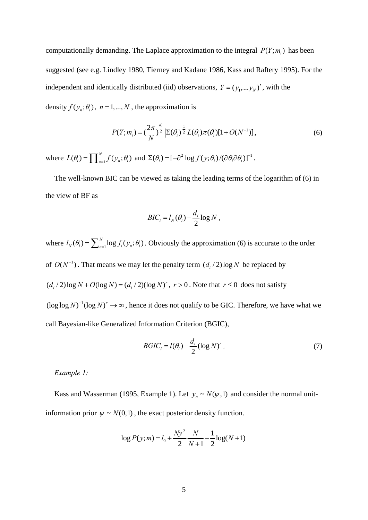computationally demanding. The Laplace approximation to the integral  $P(Y; m_i)$  has been suggested (see e.g. Lindley 1980, Tierney and Kadane 1986, Kass and Raftery 1995). For the independent and identically distributed (iid) observations,  $Y = (y_1, \dots, y_N)'$ , with the density  $f(y_n; \theta_i)$ ,  $n = 1, ..., N$ , the approximation is

$$
P(Y; m_i) = \left(\frac{2\pi}{N}\right)^{\frac{d_i}{2}} \left| \Sigma(\theta_i) \right|^{\frac{1}{2}} L(\theta_i) \pi(\theta_i) [1 + O(N^{-1})], \tag{6}
$$

<span id="page-4-0"></span>where  $L(\theta_i) = \prod_{n=1}^{N} f(y_n; \theta_i)$  and  $\Sigma(\theta_i) = [-\partial^2 \log f(y; \theta_i) / (\partial \theta_i \partial \theta_i)]^{-1}$ .

The well-known BIC can be viewed as taking the leading terms of the logarithm of [\(6\)](#page-4-0) in the view of BF as

$$
BIC_i = l_N(\theta_i) - \frac{d_i}{2} \log N,
$$

where  $l_N(\theta_i) = \sum_{n=1}^N \log f_i(y_n; \theta_i)$ . Obviously the approximation [\(6\)](#page-4-0) is accurate to the order of  $O(N^{-1})$ . That means we may let the penalty term  $(d_i/2) \log N$  be replaced by  $(d_i/2)$ log  $N + O(\log N) = (d_i/2)(\log N)^r$ ,  $r > 0$ . Note that  $r \le 0$  does not satisfy  $(\log \log N)^{-1} (\log N)^r \to \infty$ , hence it does not qualify to be GIC. Therefore, we have what we call Bayesian-like Generalized Information Criterion (BGIC),

$$
BGIC_i = l(\theta_i) - \frac{d_i}{2} (\log N)' \tag{7}
$$

#### <span id="page-4-1"></span>*Example 1:*

Kass and Wasserman (1995, Example 1). Let  $y_n \sim N(\psi, 1)$  and consider the normal unitinformation prior  $\psi \sim N(0,1)$ , the exact posterior density function.

$$
\log P(y; m) = l_0 + \frac{N\overline{y}^2}{2} \frac{N}{N+1} - \frac{1}{2} \log(N+1)
$$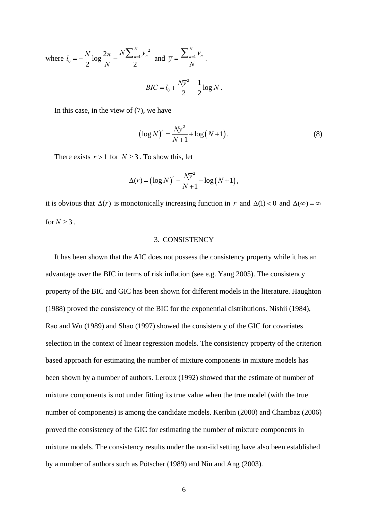where 
$$
l_0 = -\frac{N}{2} \log \frac{2\pi}{N} - \frac{N \sum_{n=1}^{N} y_n^2}{2}
$$
 and  $\overline{y} = \frac{\sum_{n=1}^{N} y_n}{N}$ .  

$$
BIC = l_0 + \frac{N\overline{y}^2}{2} - \frac{1}{2} \log N.
$$

In this case, in the view of [\(7\),](#page-4-1) we have

$$
(\log N)^{r} = \frac{N\overline{y}^{2}}{N+1} + \log (N+1).
$$
 (8)

There exists  $r > 1$  for  $N \geq 3$ . To show this, let

$$
\Delta(r) = \left(\log N\right)^r - \frac{N\overline{y}^2}{N+1} - \log(N+1)\,,
$$

it is obvious that  $\Delta(r)$  is monotonically increasing function in *r* and  $\Delta(1) < 0$  and  $\Delta(\infty) = \infty$ for  $N \geq 3$ .

#### 3. CONSISTENCY

It has been shown that the AIC does not possess the consistency property while it has an advantage over the BIC in terms of risk inflation (see e.g. Yang 2005). The consistency property of the BIC and GIC has been shown for different models in the literature. Haughton (1988) proved the consistency of the BIC for the exponential distributions. Nishii (1984), Rao and Wu (1989) and Shao (1997) showed the consistency of the GIC for covariates selection in the context of linear regression models. The consistency property of the criterion based approach for estimating the number of mixture components in mixture models has been shown by a number of authors. Leroux (1992) showed that the estimate of number of mixture components is not under fitting its true value when the true model (with the true number of components) is among the candidate models. Keribin (2000) and Chambaz (2006) proved the consistency of the GIC for estimating the number of mixture components in mixture models. The consistency results under the non-iid setting have also been established by a number of authors such as Pötscher (1989) and Niu and Ang (2003).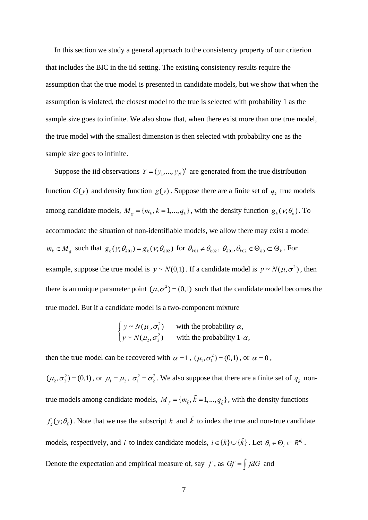In this section we study a general approach to the consistency property of our criterion that includes the BIC in the iid setting. The existing consistency results require the assumption that the true model is presented in candidate models, but we show that when the assumption is violated, the closest model to the true is selected with probability 1 as the sample size goes to infinite. We also show that, when there exist more than one true model, the true model with the smallest dimension is then selected with probability one as the sample size goes to infinite.

Suppose the iid observations  $Y = (y_1, ..., y_N)$  are generated from the true distribution function  $G(y)$  and density function  $g(y)$ . Suppose there are a finite set of  $q_k$  true models among candidate models,  $M_g = \{m_k, k = 1, ..., q_k\}$ , with the density function  $g_k(y; \theta_k)$ . To accommodate the situation of non-identifiable models, we allow there may exist a model  $m_k \in M_g$  such that  $g_k(y; \theta_{k01}) = g_k(y; \theta_{k02})$  for  $\theta_{k01} \neq \theta_{k02}$ ,  $\theta_{k01}, \theta_{k02} \in \Theta_{k0} \subset \Theta_k$ . For example, suppose the true model is  $y \sim N(0,1)$ . If a candidate model is  $y \sim N(\mu, \sigma^2)$ , then there is an unique parameter point  $(\mu, \sigma^2) = (0,1)$  such that the candidate model becomes the true model. But if a candidate model is a two-component mixture

$$
\begin{cases}\ny \sim N(\mu_1, \sigma_1^2) & \text{with the probability } \alpha, \\
y \sim N(\mu_2, \sigma_2^2) & \text{with the probability } 1-\alpha,\n\end{cases}
$$

then the true model can be recovered with  $\alpha = 1$ ,  $(\mu_1, \sigma_1^2) = (0,1)$ , or  $\alpha = 0$ ,

 $(\mu_2, \sigma_2^2) = (0, 1)$ , or  $\mu_1 = \mu_2$ ,  $\sigma_1^2 = \sigma_2^2$ . We also suppose that there are a finite set of  $q_{\tilde{k}}$  nontrue models among candidate models,  $M_f = \{m_{\tilde{k}}, \tilde{k} = 1, ..., q_{\tilde{k}}\}\$ , with the density functions  $f_{\tilde{k}}(y;\theta_{\tilde{k}})$ . Note that we use the subscript k and  $\tilde{k}$  to index the true and non-true candidate models, respectively, and *i* to index candidate models,  $i \in \{k\} \cup \{\tilde{k}\}\$ . Let  $\theta_i \in \Theta_i \subset R^{d_i}$ . Denote the expectation and empirical measure of, say  $f$ , as  $Gf = \int f dG$  and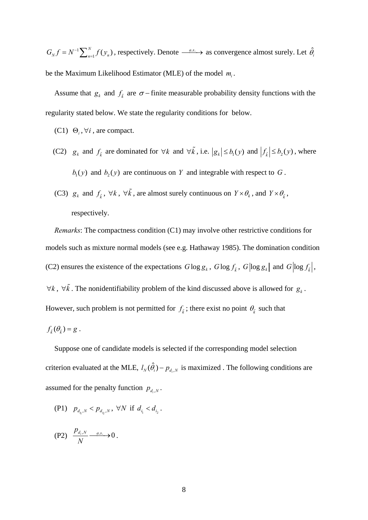$G_N f = N^{-1} \sum_{n=1}^N f(y_n)$ , respectively. Denote  $\xrightarrow{a.s.}$  as convergence almost surely. Let  $\hat{\theta}_i$ be the Maximum Likelihood Estimator (MLE) of the model  $m_i$ .

Assume that  $g_k$  and  $f_{\tilde{k}}$  are  $\sigma$  − finite measurable probability density functions with the regularity stated below. We state the regularity conditions for below.

- $(C1) \Theta_i, \forall i$ , are compact.
- (C2)  $g_k$  and  $f_k$  are dominated for  $\forall k$  and  $\forall \tilde{k}$ , i.e.  $|g_k| \leq b_1(y)$  and  $|f_k| \leq b_2(y)$ , where  $b_1(y)$  and  $b_2(y)$  are continuous on *Y* and integrable with respect to *G*.
- (C3)  $g_k$  and  $f_{\tilde{k}}$ ,  $\forall k$ ,  $\forall \tilde{k}$ , are almost surely continuous on  $Y \times \theta_k$ , and  $Y \times \theta_{\tilde{k}}$ , respectively.

*Remarks*: The compactness condition (C1) may involve other restrictive conditions for models such as mixture normal models (see e.g. Hathaway 1985). The domination condition (C2) ensures the existence of the expectations  $G \log g_k$ ,  $G \log f_{\tilde{k}}$ ,  $G \log g_k$  and  $G \log f_{\tilde{k}}$ ,  $\forall k$ ,  $\forall \tilde{k}$ . The nonidentifiability problem of the kind discussed above is allowed for  $g_k$ . However, such problem is not permitted for  $f_{\tilde{k}}$ ; there exist no point  $\theta_{\tilde{k}}$  such that  $f_{\tilde{k}}(\theta_{\tilde{k}}) = g$ .

Suppose one of candidate models is selected if the corresponding model selection criterion evaluated at the MLE,  $l_N(\hat{\theta}_i) - p_{d_i,N}$  is maximized. The following conditions are assumed for the penalty function  $p_{d_i,N}$ .

(P1)  $p_{d_{i_1},N} < p_{d_{i_2},N}$ ,  $\forall N$  if  $d_{i_1} < d_{i_2}$ .

$$
(P2) \quad \frac{p_{d_i,N}}{N} \xrightarrow{a.s.} 0 \, .
$$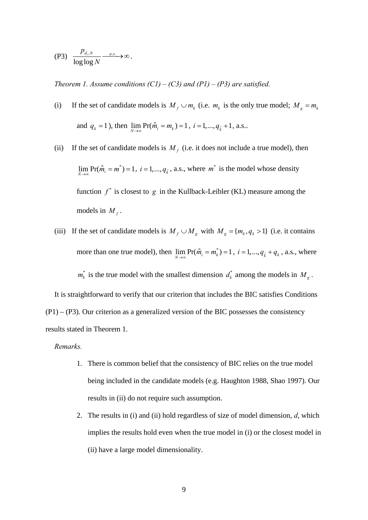<span id="page-8-0"></span>
$$
(P3) \quad \frac{p_{d_i,N}}{\log \log N} \longrightarrow \infty.
$$

*Theorem 1. Assume conditions (C1) – (C3) and (P1) – (P3) are satisfied.* 

- (i) If the set of candidate models is  $M_f \cup m_k$  (i.e.  $m_k$  is the only true model;  $M_g = m_k$ and  $q_k = 1$ ), then  $\lim_{N \to \infty} \Pr(\hat{m}_i = m_k) = 1, i = 1, ..., q_{\tilde{k}} + 1, \text{ a.s.}.$
- (ii) If the set of candidate models is  $M_f$  (i.e. it does not include a true model), then  $\lim_{N \to \infty} \Pr(\hat{m}_i = m^*) = 1, i = 1, ..., q_{\tilde{k}}$ , a.s., where  $m^*$  is the model whose density function  $f^*$  is closest to  $g$  in the Kullback-Leibler (KL) measure among the models in  $M_f$ .
- (iii) If the set of candidate models is  $M_f \cup M_g$  with  $M_g = \{m_k, q_k > 1\}$  (i.e. it contains more than one true model), then  $\lim_{N\to\infty} \Pr(\hat{m}_i = m_k^*) = 1$ ,  $i = 1, ..., q_{\tilde{k}} + q_k$ , a.s., where  $m_k^*$  is the true model with the smallest dimension  $d_k^*$  among the models in  $M_g$ .

It is straightforward to verify that our criterion that includes the BIC satisfies Conditions  $(P1) - (P3)$ . Our criterion as a generalized version of the BIC possesses the consistency results sta ted in Theorem 1.

#### *Remarks.*

- 1. There is common belief that the consistency of BIC relies on the true model being included in the candidate models (e.g. Haughton 1988, Shao 1997). Our results in (ii) do not require such assumption.
- 2. The results in  $(i)$  and  $(ii)$  hold regardless of size of model dimension,  $d$ , which implies the results hold even when the true model in (i) or the closest model in (ii) have a large model dimensionality.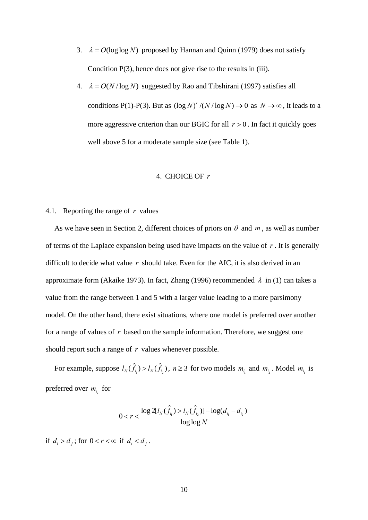- 3.  $\lambda = O(\log \log N)$  proposed by Hannan and Quinn (1979) does not satisfy Condition  $P(3)$ , hence does not give rise to the results in (iii).
- 4.  $\lambda = O(N / \log N)$  suggested by Rao and Tibshirani (1997) satisfies all conditions P(1)-P(3). But as  $(\log N)^r / (N / \log N) \rightarrow 0$  as  $N \rightarrow \infty$ , it leads to a more aggressive criterion than our BGIC for all  $r > 0$ . In fact it quickly goes well above 5 for a moderate sample size (see Table 1).

#### 4. CHOICE OF r

#### 4.1. Reporting the range of *r* values

As we have seen in Section 2, different choices of priors on  $\theta$  and  $m$ , as well as number of terms of the Laplace expansion being used have impacts on the value of *r* . It is generally difficult to decide what value *r* should take. Even for the AIC, it is also derived in an approximate form (Akaike 1973). In fact, Zhang (1996) recommended  $\lambda$  in [\(1\)](#page-1-0) can takes a value from the range between 1 and 5 with a larger value leading to a more parsimony model. On the other hand, there exist situations, where one model is preferred over another for a range of values of  $r$  based on the sample information. Therefore, we suggest one should report such a range of  $r$  values whenever possible.

For example, suppose  $l_N(\hat{f}_i) > l_N(\hat{f}_i)$ ,  $n \geq 3$  for two models  $m_{i_i}$  and  $m_{i_2}$ . Model  $m_{i_i}$  is preferred over  $m_{i_2}$  for

$$
0 < r < \frac{\log 2[l_N(\hat{f}_{i_1}) > l_N(\hat{f}_{i_2})] - \log(d_{i_1} - d_{i_2})}{\log \log N}
$$

if  $d_i > d_j$ ; for  $0 < r < \infty$  if  $d_i < d_j$ .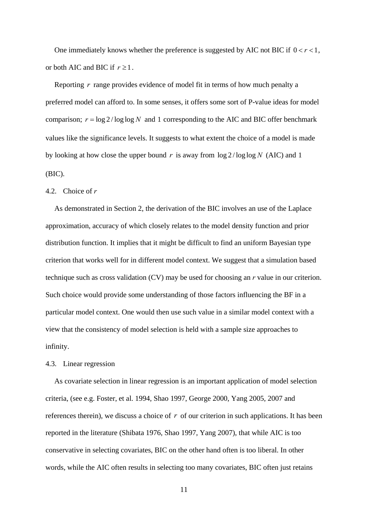One immediately knows whether the preference is suggested by AIC not BIC if  $0 < r < 1$ , or both AIC and BIC if  $r \geq 1$ .

Reporting  *range provides evidence of model fit in terms of how much penalty a* preferred model can afford to. In some senses, it offers some sort of P-value ideas for model comparison;  $r = \log 2 / \log \log N$  and 1 corresponding to the AIC and BIC offer benchmark values like the significance levels. It suggests to what extent the choice of a model is made by looking at how close the upper bound r is away from  $\log 2 / \log \log N$  (AIC) and 1 (B IC).

#### 4.2. Choice of *r*

criterion that works well for in different model context. We suggest that a simulation based technique such as cross validation (CV) may be used for choosing an *r* value in our criterion. Such choice would provide some understanding of those factors influencing the BF in a particular model context. One would then use such value in a similar model context with a view that the consistency of model selection is held with a sample size approaches to inf inity. As demonstrated in Section [2,](#page-3-1) the derivation of the BIC involves an use of the Laplace approximation, accuracy of which closely relates to the model density function and prior distribution function. It implies that it might be difficult to find an uniform Bayesian type

#### 4.3. Linear regression

references therein), we discuss a choice of  $r$  of our criterion in such applications. It has been words, while the AIC often results in selecting too many covariates, BIC often just retains As covariate selection in linear regression is an important application of model selection criteria, (see e.g. Foster, et al. 1994, Shao 1997, George 2000, Yang 2005, 2007 and reported in the literature (Shibata 1976, Shao 1997, Yang 2007), that while AIC is too conservative in selecting covariates, BIC on the other hand often is too liberal. In other

11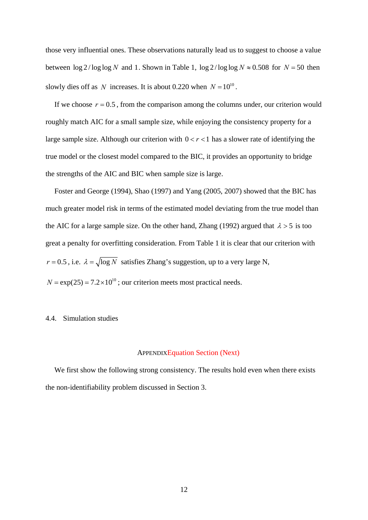those very influential ones. These observations naturally lead us to suggest to choose a value between  $\log 2 / \log \log N$  and 1. Shown in Table 1,  $\log 2 / \log \log N \approx 0.508$  for  $N = 50$  then slowly dies off as N increases. It is about 0.220 when  $N = 10^{10}$ .

If we choose  $r = 0.5$ , from the comparison among the columns under, our criterion would roughly match AIC for a small sample size, while enjoying the consistency property for a large sample size. Although our criterion with  $0 < r < 1$  has a slower rate of identifying the true model or the closest model compared to the BIC, it provides an opportunity to bridge the strengths of the AIC and BIC when sample size is large.

much greater model risk in terms of the estimated model deviating from the true model than Foster and George (1994), Shao (1997) and Yang (2005, 2007) showed that the BIC has the AIC for a large sample size. On the other hand, Zhang (1992) argued that  $\lambda > 5$  is too great a penalty for overfitting consideration. From Table 1 it is clear that our criterion with  $r = 0.5$ , i.e.  $\lambda = \sqrt{\log N}$  satisfies Zhang's suggestion, up to a very large N,  $N = \exp(25) = 7.2 \times 10^{10}$ ; our criterion meets most practical needs.

# 4.4 Simulation studies .

#### APPENDIXEquation Section (Next)

We first show the following strong consistency. The results hold even when there exists the non-identifiability problem discussed in Section 3.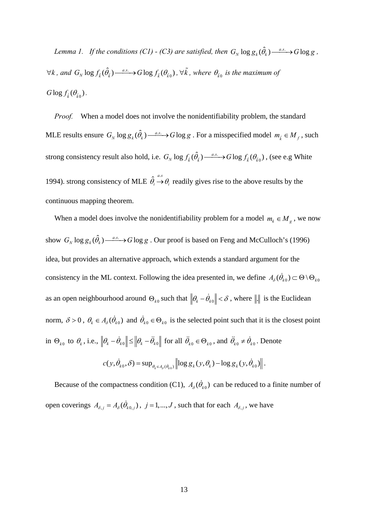<span id="page-12-0"></span>*Lemma 1.* If the conditions (C1) - (C3) are satisfied, then  $G_N \log g_k(\hat{\theta}_k) \longrightarrow G \log g$ ,  $\forall k$ , and  $G_N \log f_{\tilde{k}}(\hat{\theta}_{\tilde{k}}) \longrightarrow G \log f_{\tilde{k}}(\theta_{\tilde{k}0})$ ,  $\forall \tilde{k}$ , where  $\theta_{\tilde{k}0}$  is the maximum of  $G \log f_{\tilde{\iota}}(\theta_{\tilde{\iota}_0}).$ 

When a model does not involve the nonidentifiability problem, the standard MLE results ensure  $G_N \log g_k(\hat{\theta}_k) \xrightarrow{a.s.} G \log g$ . For a misspecified model  $m_{\tilde{k}} \in M_f$ , such strong consistency result also hold, i.e.  $G_N \log f_{\tilde{k}}(\hat{\theta}_{\tilde{k}}) \frac{a.s.}{\cdots}$  of log  $f_{\tilde{k}}(\theta_{\tilde{k}0})$ , (see e.g White 1994). strong consistency of MLE  $\hat{\theta}_i \stackrel{a.s}{\rightarrow} \theta_i$  readily gives rise to the above results by the continuous mapping theorem.

When a model does involve the nonidentifiability problem for a model  $m_k \in M_g$ , we now show  $G_N \log g_k(\hat{\theta}_k) \stackrel{a.s.}{\longrightarrow} G \log g$ . Our proof is based on Feng and McCulloch's (1996) idea, but provides an alternative approach, which extends a standard argument for the consistency in the ML context. Following the idea presented in, we define  $A_\delta(\dot{\theta}_{k0}) \subset \Theta \setminus \Theta_{k0}$ as an open neighbourhood around  $\Theta_{k0}$  such that  $\|\theta_k - \dot{\theta}_{k0}\| < \delta$ , where  $\|\cdot\|$  is the Euclidean norm,  $\delta > 0$ ,  $\theta_k \in A_{\delta}(\dot{\theta}_{k0})$  and  $\dot{\theta}_{k0} \in \Theta_{k0}$  is the selected point such that it is the closest point in  $\Theta_{k0}$  to  $\theta_k$ , i.e.,  $\left\|\theta_k - \dot{\theta}_{k0}\right\| \le \left\|\theta_k - \ddot{\theta}_{k0}\right\|$  for all  $\ddot{\theta}_{k0} \in \Theta_{k0}$ , and  $\ddot{\theta}_{k0} \ne \dot{\theta}_{k0}$ . Denote  $c(y, \dot{\theta}_{k0}, \delta) = \sup_{\theta_k \in A_{\delta}(\dot{\theta}_{k0})} \left\| \log g_k(y, \theta_k) - \log g_k(y, \dot{\theta}_{k0}) \right\|.$ 

Because of the compactness condition (C1),  $A_{\delta}(\dot{\theta}_{k_0})$  can be reduced to a finite number of open coverings  $A_{\delta,j} = A_{\delta}(\dot{\theta}_{k0,j})$ ,  $j = 1,..., J$ , such that for each  $A_{\delta,j}$ , we have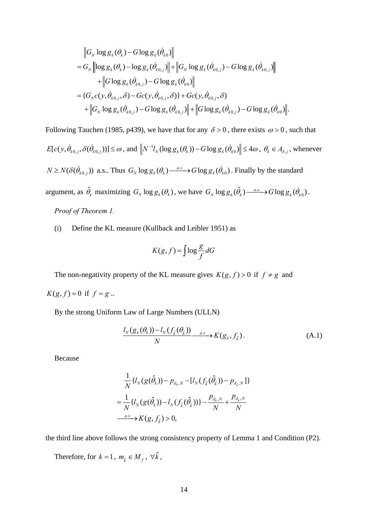$$
\|G_N \log g_k(\theta_k) - G \log g_k(\dot{\theta}_{k0})\|
$$
  
=  $G_N \left\| \log g_k(\theta_k) - \log g_k(\dot{\theta}_{k0,j}) \right\| + \left\| G_N \log g_k(\dot{\theta}_{k0,j}) - G \log g_k(\dot{\theta}_{k0,j}) \right\|$   
+  $\left\| G \log g_k(\dot{\theta}_{k0,j}) - G \log g_k(\dot{\theta}_{k0}) \right\|$   
=  $\{G_N c(y, \dot{\theta}_{k0,j}, \delta) - Gc(y, \dot{\theta}_{k0,j}, \delta) \} + Gc(y, \dot{\theta}_{k0,j}, \delta)$   
+  $\left\| G_N \log g_k(\dot{\theta}_{k0,j}) - G \log g_k(\dot{\theta}_{k0,j}) \right\| + \left\| G \log g_k(\dot{\theta}_{k0,j}) - G \log g_k(\dot{\theta}_{k0}) \right\|.$ 

Following Tauchen (1985, p439), we have that for any  $\delta > 0$ , there exists  $\omega > 0$ , such that

$$
E[c(y, \hat{\theta}_{k0,j}, \delta(\hat{\theta}_{k0,j}))] \leq \omega, \text{ and } \left\| N^{-1} I_N(\log g_k(\theta_k)) - G \log g_k(\hat{\theta}_{k0}) \right\| \leq 4\omega, \ \theta_k \in A_{\delta,j}, \text{ whenever }
$$
  

$$
N \geq N(\delta(\hat{\theta}_{k0,j})) \text{ a.s.. Thus } G_N \log g_k(\theta_k) \xrightarrow{a.s.} G \log g_k(\hat{\theta}_{k0}). \text{ Finally by the standard}
$$
  
argument, as  $\hat{\theta}_k$  maximizing  $G_N \log g_k(\theta_k)$ , we have  $G_N \log g_k(\hat{\theta}_k) \xrightarrow{a.s.} G \log g_k(\hat{\theta}_{k0})$ .

*Proof of [Theorem 1](#page-8-0).* 

(i) Define the KL measure (Kullback and Leibler 1951) as

$$
K(g, f) = \int \log \frac{g}{f} dG
$$

The non-negativity property of the KL measure gives  $K(g, f) > 0$  if  $f \neq g$  and  $K(g, f) = 0$  if  $f = g$ ..

By the strong Uniform Law of Large Numbers (ULLN)

$$
\frac{l_N(g_k(\theta_k)) - l_N(f_{\tilde{k}}(\theta_{\tilde{k}}))}{N} \xrightarrow{a.s} K(g_k, f_{\tilde{k}}).
$$
\n(A.1)

Because

$$
\frac{1}{N} \{ l_N(g(\hat{\theta}_k)) - p_{d_k,N} - [l_N(f_{\tilde{k}}(\hat{\theta}_{\tilde{k}})) - p_{d_{\tilde{k}},N} ] \}
$$
\n
$$
= \frac{1}{N} \{ l_N(g(\hat{\theta}_k)) - l_N(f_{\tilde{k}}(\hat{\theta}_{\tilde{k}})) \} - \frac{p_{d_k,N}}{N} + \frac{p_{d_{\tilde{k}},N}}{N}
$$
\n
$$
\xrightarrow{a.s.} K(g, f_{\tilde{k}}) > 0,
$$

the third line above follows the strong consistency property of [Lemma 1](#page-12-0) and Condition (P2).

Therefore, for  $k = 1$ ,  $m_{\tilde{k}} \in M_f$ ,  $\forall \tilde{k}$ ,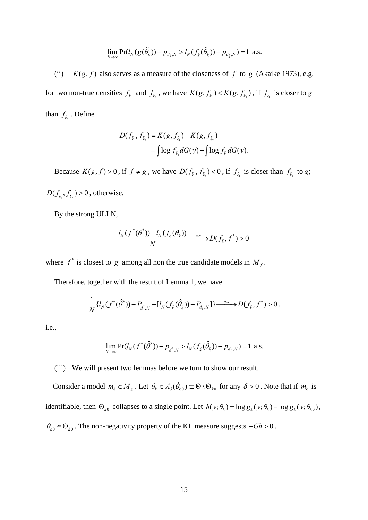$$
\lim_{N\to\infty}\Pr(l_N(g(\hat{\theta}_k)) - p_{d_k,N} > l_N(f_{\tilde{k}}(\hat{\theta}_{\tilde{k}})) - p_{d_{\tilde{k}},N}) = 1 \text{ a.s.}
$$

(ii)  $K(g, f)$  also serves as a measure of the closeness of  $f$  to  $g$  (Akaike 1973), e.g. for two non-true densities  $f_{\tilde{k}_1}$  and  $f_{\tilde{k}_2}$ , we have  $K(g, f_{\tilde{k}_1}) < K(g, f_{\tilde{k}_2})$ , if  $f_{\tilde{k}_1}$  is closer to *g* than  $f_{\tilde{k}_2}$ . Define

$$
D(f_{\tilde{k}_1}, f_{\tilde{k}_2}) = K(g, f_{\tilde{k}_1}) - K(g, f_{\tilde{k}_2})
$$
  
= 
$$
\int \log f_{\tilde{k}_2} dG(y) - \int \log f_{\tilde{k}_1} dG(y).
$$

Because  $K(g, f) > 0$ , if  $f \neq g$ , we have  $D(f_{\tilde{k}_1}, f_{\tilde{k}_2}) < 0$ , if  $f_{\tilde{k}_1}$  is closer than  $f_{\tilde{k}_2}$  to *g*;  $D(f_{\tilde{k}_1}, f_{\tilde{k}_2}) > 0$ , otherwise.

By the strong ULLN,

$$
\frac{l_N(f^*(\theta^*)) - l_N(f_{\tilde{k}}(\theta_{\tilde{k}}))}{N} \xrightarrow{a.s} D(f_{\tilde{k}}, f^*) > 0
$$

where  $f^*$  is closest to  $g$  among all non the true candidate models in  $M_f$ .

Therefore, together with the result of [Lemma 1](#page-12-0), we have

$$
\frac{1}{N} \{ l_N(f^*(\hat{\theta}^*)) - P_{d^*,N} - [l_N(f_{\tilde{k}}(\hat{\theta}_{\tilde{k}})) - P_{d_{\tilde{k}},N}] \} \xrightarrow{a.s} D(f_{\tilde{k}},f^*) > 0,
$$

i.e.,

$$
\lim_{N\to\infty}\Pr(l_N(f^*(\hat{\theta}^*))-p_{d^*,N}>l_N(f_{\hat{k}}(\hat{\theta}_{\hat{k}}))-p_{d_{\hat{k}},N})=1
$$
 a.s.

(iii) We will present two lemmas before we turn to show our result.

*Consider a model*  $m_k \in M_g$ *. Let*  $\theta_k \in A_\delta(\dot{\theta}_{k0}) \subset \Theta \setminus \Theta_{k0}$  *for any*  $\delta > 0$ *. Note that if*  $m_k$  *is* identifiable, then  $\Theta_{k0}$  collapses to a single point. Let  $h(y; \theta_k) = \log g_k(y; \theta_k) - \log g_k(y; \theta_{k0}),$  $\theta_{k0} \in \Theta_{k0}$ . The non-negativity property of the KL measure suggests  $-Gh > 0$ .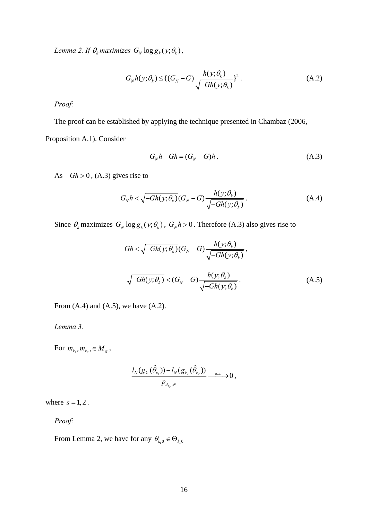<span id="page-15-4"></span><span id="page-15-3"></span>*Lemma 2. If*  $\theta_k$  *maximizes*  $G_N \log g_k(y; \theta_k)$ ,

$$
G_N h(y; \theta_k) \leq \{ (G_N - G) \frac{h(y; \theta_k)}{\sqrt{-G h(y; \theta_k)}} \}^2.
$$
 (A.2)

*Proof:* 

<span id="page-15-0"></span>The proof can be established by applying the technique presented in Chambaz (2006, Proposition A.1). Consider

$$
G_N h - Gh = (G_N - G)h.
$$
 (A.3)

<span id="page-15-1"></span>As  $-Gh > 0$ , [\(A.3\)](#page-15-0) gives rise to

$$
G_N h < \sqrt{-Gh(y; \theta_k)} \left( G_N - G \right) \frac{h(y; \theta_k)}{\sqrt{-Gh(y; \theta_k)}} \,. \tag{A.4}
$$

Since  $\theta_k$  maximizes  $G_N \log g_k(y; \theta_k)$ ,  $G_N h > 0$ . Therefore [\(A.3\)](#page-15-0) also gives rise to

$$
-Gh < \sqrt{-Gh(y; \theta_k)}(G_N - G) \frac{h(y; \theta_k)}{\sqrt{-Gh(y; \theta_k)}},
$$
  

$$
\sqrt{-Gh(y; \theta_k)} < (G_N - G) \frac{h(y; \theta_k)}{\sqrt{-Gh(y; \theta_k)}}.
$$
 (A.5)

<span id="page-15-2"></span>From  $(A.4)$  and  $(A.5)$ , we have  $(A.2)$ .

<span id="page-15-5"></span>*Lemma 3.* 

For  $m_{k_1}, m_{k_2}, \in M_g$ ,

$$
\frac{l_N(g_{k_1}(\hat{\theta}_{k_1})) - l_N(g_{k_2}(\hat{\theta}_{k_2}))}{p_{d_{k_s},N}} \xrightarrow{a.s.} 0,
$$

where  $s = 1, 2$ .

*Proof:*

From [Lemma 2](#page-15-4), we have for any  $\theta_{k_1 0} \in \Theta_{k_1 0}$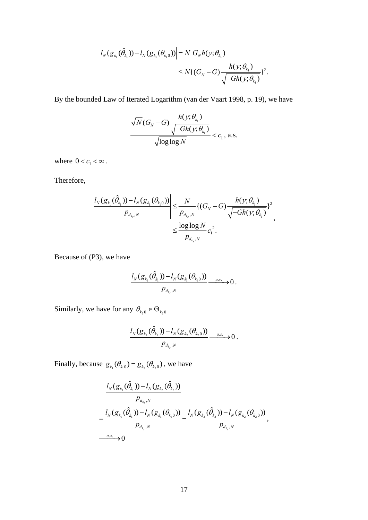$$
\left|l_N(g_{k_1}(\hat{\theta}_{k_1})) - l_N(g_{k_1}(\theta_{k_10}))\right| = N \left|G_N h(y; \theta_{k_1})\right| \\
\leq N \left\{(G_N - G) \frac{h(y; \theta_{k_1})}{\sqrt{-G h(y; \theta_{k_1})}}\right\}^2.
$$

By the bounded Law of Iterated Logarithm (van der Vaart 1998, p. 19), we have

$$
\frac{\sqrt{N}(G_N - G) \frac{h(y; \theta_{k_1})}{\sqrt{-Gh(y; \theta_{k_1})}}}{\sqrt{\log \log N}} < c_1, \text{ a.s.}
$$

where  $0 < c_1 < \infty$ .

Therefore,

$$
\left|\frac{l_N(g_{_{k_1}}(\hat{\theta}_{_{k_1}}))-l_N(g_{_{k_1}}(\theta_{_{k_1}0}))}{p_{_{d_{k_s},N}}}\right|\leq \frac{N}{p_{_{d_{k_s},N}}} \{(G_N-G)\frac{h(y;\theta_{_{k_1}})}{\sqrt{-Gh(y;\theta_{_{k_1}})}}\}^2}{\leq \frac{\log\log N}{p_{_{d_{k_s},N}}}c_{_1}^2.
$$

Because of (P3), we have

$$
\frac{I_N(g_{k_1}(\hat{\theta}_{k_1})) - I_N(g_{k_1}(\theta_{k_10}))}{p_{d_{k_s},N}} \xrightarrow{a.s.} 0.
$$

Similarly, we have for any  $\theta_{k_2 0} \in \Theta_{k_2 0}$ 

$$
\frac{l_N(g_{k_2}(\hat{\theta}_{k_2})) - l_N(g_{k_2}(\theta_{k_2 0}))}{p_{d_{k_s},N}} \xrightarrow{a.s.} 0.
$$

Finally, because  $g_{k_1}(\theta_{k_1 0}) = g_{k_2}(\theta_{k_2 0})$ , we have

$$
\frac{l_N(g_{k_1}(\hat{\theta}_{k_1})) - l_N(g_{k_2}(\hat{\theta}_{k_2}))}{p_{d_{k_s},N}}
$$
\n
$$
= \frac{l_N(g_{k_1}(\hat{\theta}_{k_1})) - l_N(g_{k_1}(\theta_{k_10}))}{p_{d_{k_s},N}} - \frac{l_N(g_{k_2}(\hat{\theta}_{k_2})) - l_N(g_{k_2}(\theta_{k_20}))}{p_{d_{k_s},N}},
$$
\n*Ans.*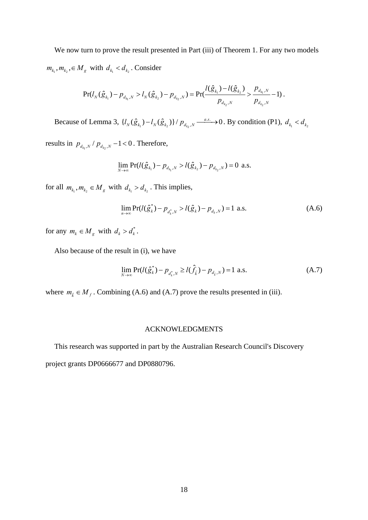We now turn to prove the result presented in Part (iii) of [Theorem 1](#page-8-0). For any two models  $m_{k_1}, m_{k_2}, \in M_g$  with  $d_{k_1} < d_{k_2}$ . Consider

$$
\Pr(l_N(\hat{g}_{k_1})-p_{d_{k_1},N}>l_N(\hat{g}_{k_2})-p_{d_{k_2},N})=\Pr(\frac{l(\hat{g}_{k_1})-l(\hat{g}_{k_2})}{p_{d_{k_2},N}}>\frac{p_{d_{k_1},N}}{p_{d_{k_2},N}}-1).
$$

Because of [Lemma 3](#page-15-5),  $\{l_N(\hat{g}_{k_1}) - l_N(\hat{g}_{k_2})\}/p_{d_{k_2},N} \xrightarrow{as.} 0$ . By condition (P1),  $\{l_N(\hat{g}_{k_1}) - l_N(\hat{g}_{k_2})\}/p_{d_{k_2},N} \xrightarrow{a.s.} 0$ . By condition (P1),  $d_{k_1} < d_{k_2}$ 

results in  $p_{d_{k_1},N}$  /  $p_{d_{k_2},N}$  –1 < 0. Therefore,

$$
\lim_{N\to\infty}\Pr(l(\hat{g}_{k_1})-p_{d_{k_1},N}>l(\hat{g}_{k_2})-p_{d_{k_2},N})=0
$$
 a.s.

<span id="page-17-0"></span>for all  $m_{k_1}, m_{k_2} \in M_g$  with  $d_{k_1} > d_{k_2}$ . This implies,

$$
\lim_{n \to \infty} \Pr(l(\hat{g}_k^*) - p_{d_k^*, N} > l(\hat{g}_k) - p_{d_k, N}) = 1 \text{ a.s.}
$$
\n(A.6)

for any  $m_k \in M_g$  with  $d_k > d_k^*$ .

Also because of the result in (i), we have

$$
\lim_{N \to \infty} \Pr(l(\hat{g}_k^*) - p_{d_k^*, N} \ge l(\hat{f}_k) - p_{d_k, N}) = 1 \text{ a.s.}
$$
\n(A.7)

<span id="page-17-1"></span>where  $m_{\tilde{k}} \in M_f$ . Combining [\(A.6\)](#page-17-0) and [\(A.7\)](#page-17-1) prove the results presented in (iii).

## ACKNOWLEDGMENTS

This research was supported in part by the Australian Research Council's Discovery project grants DP0666677 and DP0880796.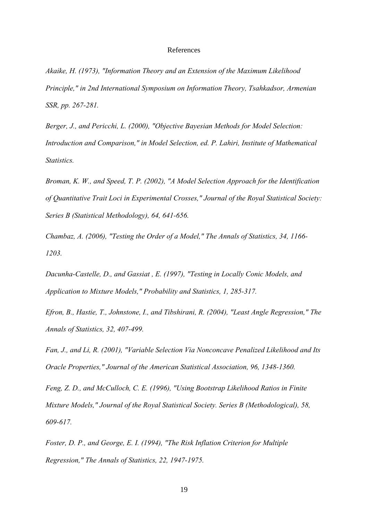#### References

*Akaike, H. (1973), "Information Theory and an Extension of the Maximum Likelihood Principle," in 2nd International Symposium on Information Theory, Tsahkadsor, Armenian SSR, pp. 267-281.* 

*Berger, J., and Pericchi, L. (2000), "Objective Bayesian Methods for Model Selection: Introduction and Comparison," in Model Selection, ed. P. Lahiri, Institute of Mathematical Statistics.* 

*Broman, K. W., and Speed, T. P. (2002), "A Model Selection Approach for the Identification of Quantitative Trait Loci in Experimental Crosses," Journal of the Royal Statistical Society: Series B (Statistical Methodology), 64, 641-656.* 

*Chambaz, A. (2006), "Testing the Order of a Model," The Annals of Statistics, 34, 1166- 1203.* 

*Dacunha-Castelle, D., and Gassiat , E. (1997), "Testing in Locally Conic Models, and Application to Mixture Models," Probability and Statistics, 1, 285-317.* 

*Efron, B., Hastie, T., Johnstone, I., and Tibshirani, R. (2004), "Least Angle Regression," The Annals of Statistics, 32, 407-499.* 

*Fan, J., and Li, R. (2001), "Variable Selection Via Nonconcave Penalized Likelihood and Its Oracle Properties," Journal of the American Statistical Association, 96, 1348-1360.* 

*Feng, Z. D., and McCulloch, C. E. (1996), "Using Bootstrap Likelihood Ratios in Finite Mixture Models," Journal of the Royal Statistical Society. Series B (Methodological), 58, 609-617.* 

*Foster, D. P., and George, E. I. (1994), "The Risk Inflation Criterion for Multiple Regression," The Annals of Statistics, 22, 1947-1975.*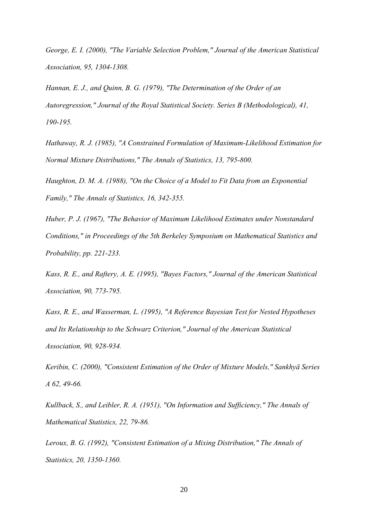*George, E. I. (2000), "The Variable Selection Problem," Journal of the American Statistical Association, 95, 1304-1308.* 

*Hannan, E. J., and Quinn, B. G. (1979), "The Determination of the Order of an Autoregression," Journal of the Royal Statistical Society. Series B (Methodological), 41, 190-195.* 

*Hathaway, R. J. (1985), "A Constrained Formulation of Maximum-Likelihood Estimation for Normal Mixture Distributions," The Annals of Statistics, 13, 795-800.* 

*Haughton, D. M. A. (1988), "On the Choice of a Model to Fit Data from an Exponential Family," The Annals of Statistics, 16, 342-355.* 

*Huber, P. J. (1967), "The Behavior of Maximum Likelihood Estimates under Nonstandard Conditions," in Proceedings of the 5th Berkeley Symposium on Mathematical Statistics and Probability, pp. 221-233.* 

*Kass, R. E., and Raftery, A. E. (1995), "Bayes Factors," Journal of the American Statistical Association, 90, 773-795.* 

*Kass, R. E., and Wasserman, L. (1995), "A Reference Bayesian Test for Nested Hypotheses and Its Relationship to the Schwarz Criterion," Journal of the American Statistical Association, 90, 928-934.* 

*Keribin, C. (2000), "Consistent Estimation of the Order of Mixture Models," Sankhyā Series A 62, 49-66.* 

*Kullback, S., and Leibler, R. A. (1951), "On Information and Sufficiency," The Annals of Mathematical Statistics, 22, 79-86.* 

*Leroux, B. G. (1992), "Consistent Estimation of a Mixing Distribution," The Annals of Statistics, 20, 1350-1360.*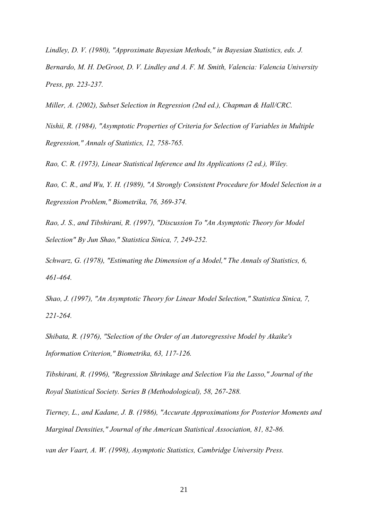*Lindley, D. V. (1980), "Approximate Bayesian Methods," in Bayesian Statistics, eds. J. Bernardo, M. H. DeGroot, D. V. Lindley and A. F. M. Smith, Valencia: Valencia University Press, pp. 223-237.* 

*Miller, A. (2002), Subset Selection in Regression (2nd ed.), Chapman & Hall/CRC.* 

*Nishii, R. (1984), "Asymptotic Properties of Criteria for Selection of Variables in Multiple Regression," Annals of Statistics, 12, 758-765.* 

*Rao, C. R. (1973), Linear Statistical Inference and Its Applications (2 ed.), Wiley.* 

*Rao, C. R., and Wu, Y. H. (1989), "A Strongly Consistent Procedure for Model Selection in a Regression Problem," Biometrika, 76, 369-374.* 

*Rao, J. S., and Tibshirani, R. (1997), "Discussion To "An Asymptotic Theory for Model Selection" By Jun Shao," Statistica Sinica, 7, 249-252.* 

*Schwarz, G. (1978), "Estimating the Dimension of a Model," The Annals of Statistics, 6, 461-464.* 

*Shao, J. (1997), "An Asymptotic Theory for Linear Model Selection," Statistica Sinica, 7, 221-264.* 

*Shibata, R. (1976), "Selection of the Order of an Autoregressive Model by Akaike's Information Criterion," Biometrika, 63, 117-126.* 

*Tibshirani, R. (1996), "Regression Shrinkage and Selection Via the Lasso," Journal of the Royal Statistical Society. Series B (Methodological), 58, 267-288.* 

*Tierney, L., and Kadane, J. B. (1986), "Accurate Approximations for Posterior Moments and Marginal Densities," Journal of the American Statistical Association, 81, 82-86.* 

*van der Vaart, A. W. (1998), Asymptotic Statistics, Cambridge University Press.*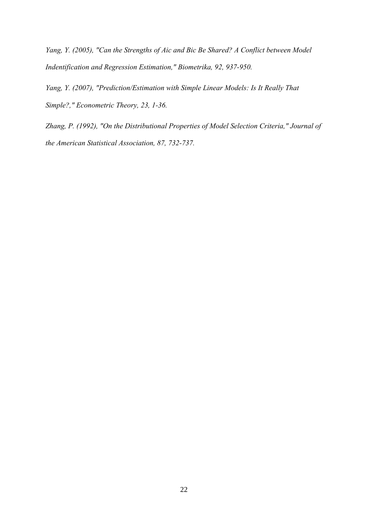*Yang, Y. (2005), "Can the Strengths of Aic and Bic Be Shared? A Conflict between Model Indentification and Regression Estimation," Biometrika, 92, 937-950.* 

*Yang, Y. (2007), "Prediction/Estimation with Simple Linear Models: Is It Really That Simple?," Econometric Theory, 23, 1-36.* 

*Zhang, P. (1992), "On the Distributional Properties of Model Selection Criteria," Journal of the American Statistical Association, 87, 732-737.*